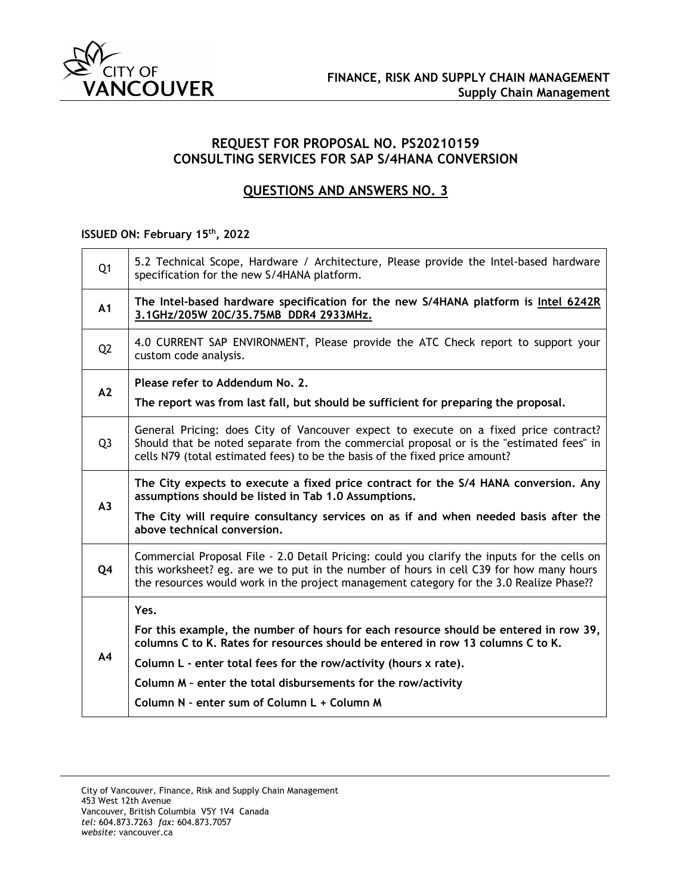

## **REQUEST FOR PROPOSAL NO. PS20210159 CONSULTING SERVICES FOR SAP S/4HANA CONVERSION**

## **QUESTIONS AND ANSWERS NO. 3**

## **ISSUED ON: February 15th, 2022**

| Q <sub>1</sub> | 5.2 Technical Scope, Hardware / Architecture, Please provide the Intel-based hardware<br>specification for the new S/4HANA platform.                                                                                                                                                                                 |
|----------------|----------------------------------------------------------------------------------------------------------------------------------------------------------------------------------------------------------------------------------------------------------------------------------------------------------------------|
| A <sub>1</sub> | The Intel-based hardware specification for the new S/4HANA platform is Intel 6242R<br>3.1GHz/205W 20C/35.75MB DDR4 2933MHz.                                                                                                                                                                                          |
| Q <sub>2</sub> | 4.0 CURRENT SAP ENVIRONMENT, Please provide the ATC Check report to support your<br>custom code analysis.                                                                                                                                                                                                            |
| A2             | Please refer to Addendum No. 2.                                                                                                                                                                                                                                                                                      |
|                | The report was from last fall, but should be sufficient for preparing the proposal.                                                                                                                                                                                                                                  |
| Q <sub>3</sub> | General Pricing: does City of Vancouver expect to execute on a fixed price contract?<br>Should that be noted separate from the commercial proposal or is the "estimated fees" in<br>cells N79 (total estimated fees) to be the basis of the fixed price amount?                                                      |
| A <sub>3</sub> | The City expects to execute a fixed price contract for the S/4 HANA conversion. Any<br>assumptions should be listed in Tab 1.0 Assumptions.<br>The City will require consultancy services on as if and when needed basis after the<br>above technical conversion.                                                    |
| Q4             | Commercial Proposal File - 2.0 Detail Pricing: could you clarify the inputs for the cells on<br>this worksheet? eg. are we to put in the number of hours in cell C39 for how many hours<br>the resources would work in the project management category for the 3.0 Realize Phase??                                   |
| A4             | Yes.<br>For this example, the number of hours for each resource should be entered in row 39,<br>columns C to K. Rates for resources should be entered in row 13 columns C to K.<br>Column L - enter total fees for the row/activity (hours x rate).<br>Column M - enter the total disbursements for the row/activity |